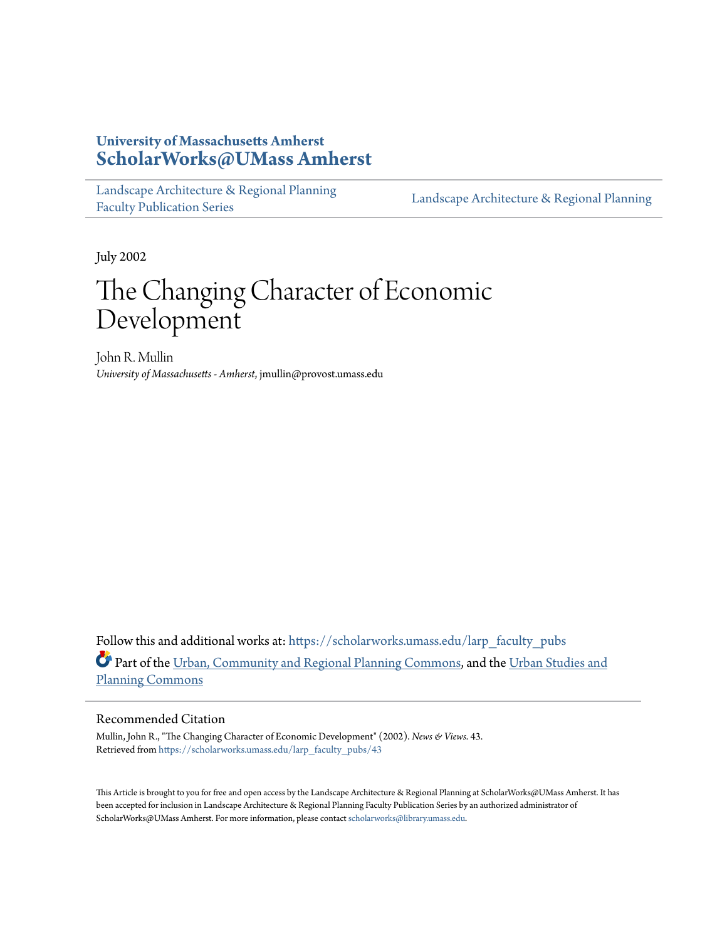#### **University of Massachusetts Amherst [ScholarWorks@UMass Amherst](https://scholarworks.umass.edu?utm_source=scholarworks.umass.edu%2Flarp_faculty_pubs%2F43&utm_medium=PDF&utm_campaign=PDFCoverPages)**

[Landscape Architecture & Regional Planning](https://scholarworks.umass.edu/larp_faculty_pubs?utm_source=scholarworks.umass.edu%2Flarp_faculty_pubs%2F43&utm_medium=PDF&utm_campaign=PDFCoverPages) [Faculty Publication Series](https://scholarworks.umass.edu/larp_faculty_pubs?utm_source=scholarworks.umass.edu%2Flarp_faculty_pubs%2F43&utm_medium=PDF&utm_campaign=PDFCoverPages)

[Landscape Architecture & Regional Planning](https://scholarworks.umass.edu/larp?utm_source=scholarworks.umass.edu%2Flarp_faculty_pubs%2F43&utm_medium=PDF&utm_campaign=PDFCoverPages)

July 2002

## The Changing Character of Economic Development

John R. Mullin *University of Massachusetts - Amherst*, jmullin@provost.umass.edu

Follow this and additional works at: [https://scholarworks.umass.edu/larp\\_faculty\\_pubs](https://scholarworks.umass.edu/larp_faculty_pubs?utm_source=scholarworks.umass.edu%2Flarp_faculty_pubs%2F43&utm_medium=PDF&utm_campaign=PDFCoverPages) Part of the [Urban, Community and Regional Planning Commons](http://network.bepress.com/hgg/discipline/776?utm_source=scholarworks.umass.edu%2Flarp_faculty_pubs%2F43&utm_medium=PDF&utm_campaign=PDFCoverPages), and the [Urban Studies and](http://network.bepress.com/hgg/discipline/436?utm_source=scholarworks.umass.edu%2Flarp_faculty_pubs%2F43&utm_medium=PDF&utm_campaign=PDFCoverPages) [Planning Commons](http://network.bepress.com/hgg/discipline/436?utm_source=scholarworks.umass.edu%2Flarp_faculty_pubs%2F43&utm_medium=PDF&utm_campaign=PDFCoverPages)

#### Recommended Citation

Mullin, John R., "The Changing Character of Economic Development" (2002). *News & Views*. 43. Retrieved from [https://scholarworks.umass.edu/larp\\_faculty\\_pubs/43](https://scholarworks.umass.edu/larp_faculty_pubs/43?utm_source=scholarworks.umass.edu%2Flarp_faculty_pubs%2F43&utm_medium=PDF&utm_campaign=PDFCoverPages)

This Article is brought to you for free and open access by the Landscape Architecture & Regional Planning at ScholarWorks@UMass Amherst. It has been accepted for inclusion in Landscape Architecture & Regional Planning Faculty Publication Series by an authorized administrator of ScholarWorks@UMass Amherst. For more information, please contact [scholarworks@library.umass.edu.](mailto:scholarworks@library.umass.edu)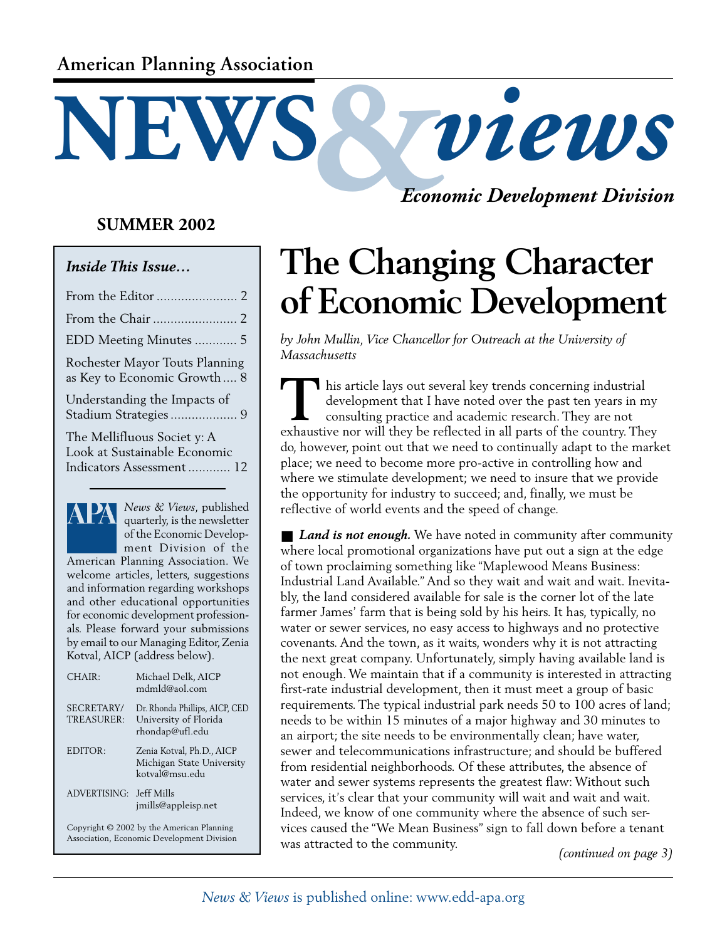### **American Planning Association**

#### **SUMMER 2002**

#### *Inside This Issue…*

| EDD Meeting Minutes  5                                                                  |  |
|-----------------------------------------------------------------------------------------|--|
| Rochester Mayor Touts Planning<br>as Key to Economic Growth 8                           |  |
| Understanding the Impacts of                                                            |  |
| The Mellifluous Societ y: A<br>Look at Sustainable Economic<br>Indicators Assessment 12 |  |
|                                                                                         |  |



*News & Views*, published quarterly, is the newsletter of the Economic Development Division of the

American Planning Association. We welcome articles, letters, suggestions and information regarding workshops and other educational opportunities for economic development professionals. Please forward your submissions by email to our Managing Editor, Zenia Kotval, AICP (address below).

| CHAIR:                                 | Michael Delk, AICP<br>$mdmld@$ aol.com                                     |  |
|----------------------------------------|----------------------------------------------------------------------------|--|
| SECRETARY/<br>TREASURER:               | Dr. Rhonda Phillips, AICP, CED<br>University of Florida<br>rhondap@ufl.edu |  |
| EDITOR:                                | Zenia Kotval, Ph.D., AICP<br>Michigan State University<br>kotval@msu.edu   |  |
| ADVERTISING:                           | Jeff Mills<br>imills@appleisp.net                                          |  |
| $C = 1.630031$ $1 \cdot 1$ $1 \cdot 1$ |                                                                            |  |

Copyright © 2002 by the American Planning Association, Economic Development Division *Economic Development Division*

# **The Changing Character of Economic Development**

*by John Mullin, Vice Chancellor for Outreach at the University of Massachusetts*

**NEWS &** *views*

**T** his article lays out several key trends concerning industrial development that I have noted over the past ten years in my consulting practice and academic research. They are not I his article lays out several key trends concerning industrial development that I have noted over the past ten years in my consulting practice and academic research. They are not exhaustive nor will they be reflected in a do, however, point out that we need to continually adapt to the market place; we need to become more pro-active in controlling how and where we stimulate development; we need to insure that we provide the opportunity for industry to succeed; and, finally, we must be reflective of world events and the speed of change.

■ *Land is not enough*. We have noted in community after community where local promotional organizations have put out a sign at the edge of town proclaiming something like "Maplewood Means Business: Industrial Land Available." And so they wait and wait and wait. Inevitably, the land considered available for sale is the corner lot of the late farmer James' farm that is being sold by his heirs. It has, typically, no water or sewer services, no easy access to highways and no protective covenants. And the town, as it waits, wonders why it is not attracting the next great company. Unfortunately, simply having available land is not enough. We maintain that if a community is interested in attracting first-rate industrial development, then it must meet a group of basic requirements. The typical industrial park needs 50 to 100 acres of land; needs to be within 15 minutes of a major highway and 30 minutes to an airport; the site needs to be environmentally clean; have water, sewer and telecommunications infrastructure; and should be buffered from residential neighborhoods. Of these attributes, the absence of water and sewer systems represents the greatest flaw: Without such services, it's clear that your community will wait and wait and wait. Indeed, we know of one community where the absence of such services caused the "We Mean Business" sign to fall down before a tenant was attracted to the community. *(continued on page 3)*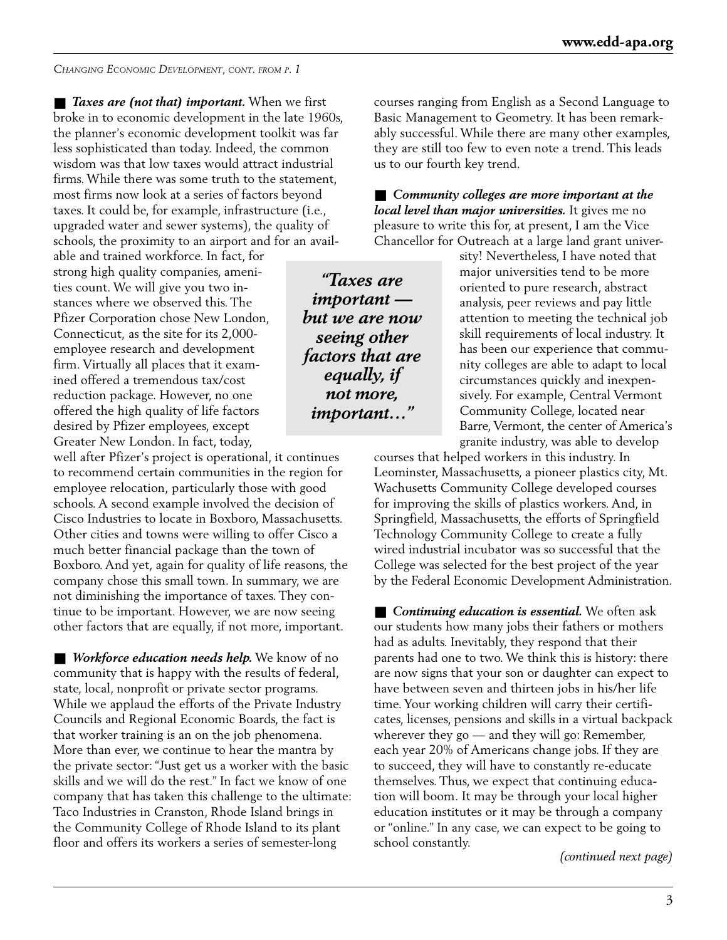*CHANGING ECONOMIC DEVELOPMENT, CONT. FROM P. 1*

■ *Taxes are (not that) important.* When we first broke in to economic development in the late 1960s, the planner's economic development toolkit was far less sophisticated than today. Indeed, the common wisdom was that low taxes would attract industrial firms. While there was some truth to the statement, most firms now look at a series of factors beyond taxes. It could be, for example, infrastructure (i.e., upgraded water and sewer systems), the quality of schools, the proximity to an airport and for an avail-

able and trained workforce. In fact, for strong high quality companies, amenities count. We will give you two instances where we observed this. The Pfizer Corporation chose New London, Connecticut, as the site for its 2,000 employee research and development firm. Virtually all places that it examined offered a tremendous tax/cost reduction package. However, no one offered the high quality of life factors desired by Pfizer employees, except Greater New London. In fact, today,

well after Pfizer's project is operational, it continues to recommend certain communities in the region for employee relocation, particularly those with good schools. A second example involved the decision of Cisco Industries to locate in Boxboro, Massachusetts. Other cities and towns were willing to offer Cisco a much better financial package than the town of Boxboro. And yet, again for quality of life reasons, the company chose this small town. In summary, we are not diminishing the importance of taxes. They continue to be important. However, we are now seeing other factors that are equally, if not more, important.

■ *Workforce education needs help*. We know of no community that is happy with the results of federal, state, local, nonprofit or private sector programs. While we applaud the efforts of the Private Industry Councils and Regional Economic Boards, the fact is that worker training is an on the job phenomena. More than ever, we continue to hear the mantra by the private sector: "Just get us a worker with the basic skills and we will do the rest." In fact we know of one company that has taken this challenge to the ultimate: Taco Industries in Cranston, Rhode Island brings in the Community College of Rhode Island to its plant floor and offers its workers a series of semester-long

courses ranging from English as a Second Language to Basic Management to Geometry. It has been remarkably successful. While there are many other examples, they are still too few to even note a trend. This leads us to our fourth key trend.

■ Community colleges are more important at the *local level than major universities.* It gives me no pleasure to write this for, at present, I am the Vice Chancellor for Outreach at a large land grant univer-

*"Taxes are important but we are now seeing other factors that are equally, if not more, important…"*

sity! Nevertheless, I have noted that major universities tend to be more oriented to pure research, abstract analysis, peer reviews and pay little attention to meeting the technical job skill requirements of local industry. It has been our experience that community colleges are able to adapt to local circumstances quickly and inexpensively. For example, Central Vermont Community College, located near Barre, Vermont, the center of America's granite industry, was able to develop

courses that helped workers in this industry. In Leominster, Massachusetts, a pioneer plastics city, Mt. Wachusetts Community College developed courses for improving the skills of plastics workers. And, in Springfield, Massachusetts, the efforts of Springfield Technology Community College to create a fully wired industrial incubator was so successful that the College was selected for the best project of the year by the Federal Economic Development Administration.

■ *Continuing education is essential*. We often ask our students how many jobs their fathers or mothers had as adults. Inevitably, they respond that their parents had one to two. We think this is history: there are now signs that your son or daughter can expect to have between seven and thirteen jobs in his/her life time. Your working children will carry their certificates, licenses, pensions and skills in a virtual backpack wherever they go — and they will go: Remember, each year 20% of Americans change jobs. If they are to succeed, they will have to constantly re-educate themselves. Thus, we expect that continuing education will boom. It may be through your local higher education institutes or it may be through a company or "online." In any case, we can expect to be going to school constantly.

*(continued next page)*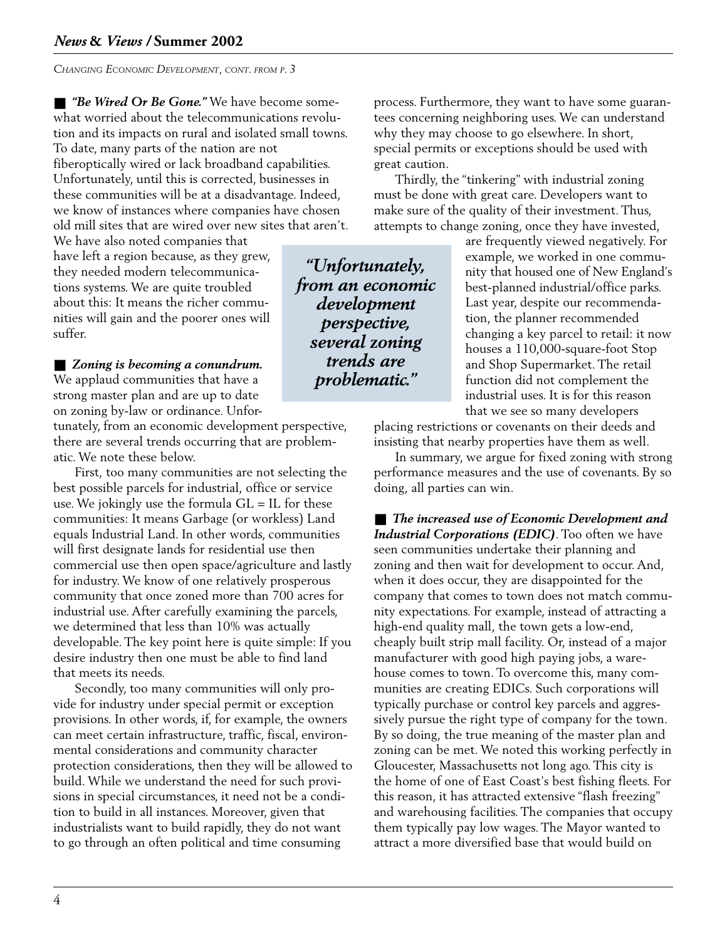*CHANGING ECONOMIC DEVELOPMENT, CONT. FROM P. 3*

■ *"Be Wired Or Be Gone."* We have become somewhat worried about the telecommunications revolution and its impacts on rural and isolated small towns. To date, many parts of the nation are not fiberoptically wired or lack broadband capabilities. Unfortunately, until this is corrected, businesses in these communities will be at a disadvantage. Indeed, we know of instances where companies have chosen old mill sites that are wired over new sites that aren't.

We have also noted companies that have left a region because, as they grew, they needed modern telecommunications systems. We are quite troubled about this: It means the richer communities will gain and the poorer ones will suffer.

■ *Zoning is becoming a conundrum.* We applaud communities that have a strong master plan and are up to date on zoning by-law or ordinance. Unfor-

tunately, from an economic development perspective, there are several trends occurring that are problematic. We note these below.

First, too many communities are not selecting the best possible parcels for industrial, office or service use. We jokingly use the formula  $GL = IL$  for these communities: It means Garbage (or workless) Land equals Industrial Land. In other words, communities will first designate lands for residential use then commercial use then open space/agriculture and lastly for industry. We know of one relatively prosperous community that once zoned more than 700 acres for industrial use. After carefully examining the parcels, we determined that less than 10% was actually developable. The key point here is quite simple: If you desire industry then one must be able to find land that meets its needs.

Secondly, too many communities will only provide for industry under special permit or exception provisions. In other words, if, for example, the owners can meet certain infrastructure, traffic, fiscal, environmental considerations and community character protection considerations, then they will be allowed to build. While we understand the need for such provisions in special circumstances, it need not be a condition to build in all instances. Moreover, given that industrialists want to build rapidly, they do not want to go through an often political and time consuming

process. Furthermore, they want to have some guarantees concerning neighboring uses. We can understand why they may choose to go elsewhere. In short, special permits or exceptions should be used with great caution.

Thirdly, the "tinkering" with industrial zoning must be done with great care. Developers want to make sure of the quality of their investment. Thus, attempts to change zoning, once they have invested,

*"Unfortunately, from an economic development perspective, several zoning trends are problematic."*

are frequently viewed negatively. For example, we worked in one community that housed one of New England's best-planned industrial/office parks. Last year, despite our recommendation, the planner recommended changing a key parcel to retail: it now houses a 110,000-square-foot Stop and Shop Supermarket. The retail function did not complement the industrial uses. It is for this reason that we see so many developers

placing restrictions or covenants on their deeds and insisting that nearby properties have them as well.

In summary, we argue for fixed zoning with strong performance measures and the use of covenants. By so doing, all parties can win.

■ *The increased use of Economic Development and Industrial Corporations (EDIC)*. Too often we have seen communities undertake their planning and zoning and then wait for development to occur. And, when it does occur, they are disappointed for the company that comes to town does not match community expectations. For example, instead of attracting a high-end quality mall, the town gets a low-end, cheaply built strip mall facility. Or, instead of a major manufacturer with good high paying jobs, a warehouse comes to town. To overcome this, many communities are creating EDICs. Such corporations will typically purchase or control key parcels and aggressively pursue the right type of company for the town. By so doing, the true meaning of the master plan and zoning can be met. We noted this working perfectly in Gloucester, Massachusetts not long ago. This city is the home of one of East Coast's best fishing fleets. For this reason, it has attracted extensive "flash freezing" and warehousing facilities. The companies that occupy them typically pay low wages. The Mayor wanted to attract a more diversified base that would build on